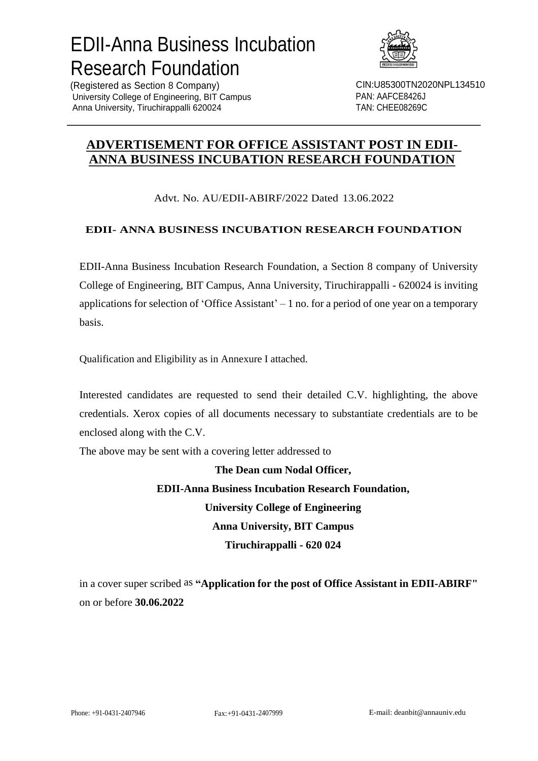# EDII-Anna Business Incubation Research Foundation



(Registered as Section 8 Company) University College of Engineering, BIT Campus Anna University, Tiruchirappalli 620024

CIN:U85300TN2020NPL134510 PAN: AAFCE8426J TAN: CHEE08269C

### **ADVERTISEMENT FOR OFFICE ASSISTANT POST IN EDII-ANNA BUSINESS INCUBATION RESEARCH FOUNDATION**

#### Advt. No. AU/EDII-ABIRF/2022 Dated 13.06.2022

#### **EDII- ANNA BUSINESS INCUBATION RESEARCH FOUNDATION**

EDII-Anna Business Incubation Research Foundation, a Section 8 company of University College of Engineering, BIT Campus, Anna University, Tiruchirappalli - 620024 is inviting applications for selection of 'Office Assistant' – 1 no. for a period of one year on a temporary basis.

Qualification and Eligibility as in Annexure I attached.

Interested candidates are requested to send their detailed C.V. highlighting, the above credentials. Xerox copies of all documents necessary to substantiate credentials are to be enclosed along with the C.V.

The above may be sent with a covering letter addressed to

**The Dean cum Nodal Officer, EDII-Anna Business Incubation Research Foundation, University College of Engineering Anna University, BIT Campus Tiruchirappalli - 620 024**

in a cover super scribed as **"Application for the post of Office Assistant in EDII-ABIRF"** on or before **30.06.2022**